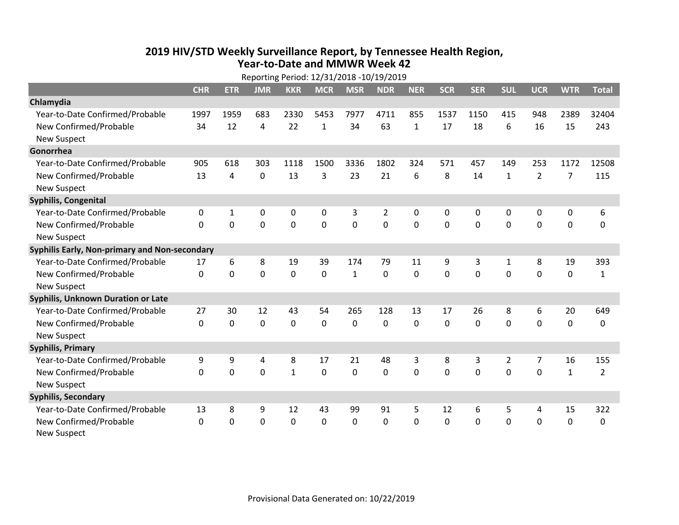## **2019 HIV /STD Weekly Surveillance Report, by Tennessee Health Region, Year‐to‐Date and MMWR Week 42**  $R_{\text{R}}$

|                                               | Reporting Period: 12/31/2018 -10/19/2019 |              |            |                |              |                |                |              |              |             |                |                |                |                |
|-----------------------------------------------|------------------------------------------|--------------|------------|----------------|--------------|----------------|----------------|--------------|--------------|-------------|----------------|----------------|----------------|----------------|
|                                               | <b>CHR</b>                               | <b>ETR</b>   | <b>JMR</b> | <b>KKR</b>     | <b>MCR</b>   | <b>MSR</b>     | <b>NDR</b>     | <b>NER</b>   | <b>SCR</b>   | <b>SER</b>  | <b>SUL</b>     | <b>UCR</b>     | <b>WTR</b>     | <b>Total</b>   |
| Chlamydia                                     |                                          |              |            |                |              |                |                |              |              |             |                |                |                |                |
| Year-to-Date Confirmed/Probable               | 1997                                     | 1959         | 683        | 2330           | 5453         | 7977           | 4711           | 855          | 1537         | 1150        | 415            | 948            | 2389           | 32404          |
| New Confirmed/Probable                        | 34                                       | 12           | 4          | 22             | $\mathbf{1}$ | 34             | 63             | $\mathbf{1}$ | 17           | 18          | 6              | 16             | 15             | 243            |
| <b>New Suspect</b>                            |                                          |              |            |                |              |                |                |              |              |             |                |                |                |                |
| Gonorrhea                                     |                                          |              |            |                |              |                |                |              |              |             |                |                |                |                |
| Year-to-Date Confirmed/Probable               | 905                                      | 618          | 303        | 1118           | 1500         | 3336           | 1802           | 324          | 571          | 457         | 149            | 253            | 1172           | 12508          |
| New Confirmed/Probable                        | 13                                       | 4            | 0          | 13             | 3            | 23             | 21             | 6            | 8            | 14          | $\mathbf{1}$   | $\overline{2}$ | $\overline{7}$ | 115            |
| <b>New Suspect</b>                            |                                          |              |            |                |              |                |                |              |              |             |                |                |                |                |
| <b>Syphilis, Congenital</b>                   |                                          |              |            |                |              |                |                |              |              |             |                |                |                |                |
| Year-to-Date Confirmed/Probable               | 0                                        | $\mathbf{1}$ | 0          | 0              | 0            | 3              | $\overline{2}$ | 0            | 0            | 0           | 0              | 0              | 0              | 6              |
| New Confirmed/Probable                        | $\Omega$                                 | $\Omega$     | $\Omega$   | $\overline{0}$ | $\mathbf 0$  | $\overline{0}$ | $\mathbf 0$    | $\Omega$     | $\Omega$     | $\Omega$    | 0              | $\mathbf 0$    | $\mathbf 0$    | 0              |
| <b>New Suspect</b>                            |                                          |              |            |                |              |                |                |              |              |             |                |                |                |                |
| Syphilis Early, Non-primary and Non-secondary |                                          |              |            |                |              |                |                |              |              |             |                |                |                |                |
| Year-to-Date Confirmed/Probable               | 17                                       | 6            | 8          | 19             | 39           | 174            | 79             | 11           | 9            | 3           | 1              | 8              | 19             | 393            |
| New Confirmed/Probable                        | $\mathbf{0}$                             | 0            | 0          | 0              | $\mathbf 0$  | $\mathbf{1}$   | 0              | $\Omega$     | 0            | $\mathbf 0$ | 0              | $\mathbf 0$    | $\mathbf 0$    | $\mathbf{1}$   |
| <b>New Suspect</b>                            |                                          |              |            |                |              |                |                |              |              |             |                |                |                |                |
| Syphilis, Unknown Duration or Late            |                                          |              |            |                |              |                |                |              |              |             |                |                |                |                |
| Year-to-Date Confirmed/Probable               | 27                                       | 30           | 12         | 43             | 54           | 265            | 128            | 13           | 17           | 26          | 8              | 6              | 20             | 649            |
| New Confirmed/Probable                        | $\mathbf{0}$                             | $\mathbf 0$  | 0          | 0              | $\mathbf 0$  | 0              | 0              | $\mathbf 0$  | $\Omega$     | 0           | 0              | $\mathbf 0$    | $\mathbf 0$    | 0              |
| <b>New Suspect</b>                            |                                          |              |            |                |              |                |                |              |              |             |                |                |                |                |
| <b>Syphilis, Primary</b>                      |                                          |              |            |                |              |                |                |              |              |             |                |                |                |                |
| Year-to-Date Confirmed/Probable               | 9                                        | 9            | 4          | 8              | 17           | 21             | 48             | 3            | 8            | 3           | $\overline{2}$ | $\overline{7}$ | 16             | 155            |
| New Confirmed/Probable                        | 0                                        | 0            | 0          | $\mathbf{1}$   | $\mathbf 0$  | 0              | 0              | $\Omega$     | $\Omega$     | $\Omega$    | $\mathbf 0$    | $\mathbf 0$    | $\mathbf{1}$   | $\overline{2}$ |
| <b>New Suspect</b>                            |                                          |              |            |                |              |                |                |              |              |             |                |                |                |                |
| <b>Syphilis, Secondary</b>                    |                                          |              |            |                |              |                |                |              |              |             |                |                |                |                |
| Year-to-Date Confirmed/Probable               | 13                                       | 8            | 9          | 12             | 43           | 99             | 91             | 5            | 12           | 6           | 5              | 4              | 15             | 322            |
| New Confirmed/Probable                        | $\mathbf{0}$                             | 0            | 0          | 0              | $\mathbf 0$  | 0              | 0              | $\Omega$     | $\mathbf{0}$ | 0           | 0              | 0              | $\mathbf 0$    | 0              |
| <b>New Suspect</b>                            |                                          |              |            |                |              |                |                |              |              |             |                |                |                |                |